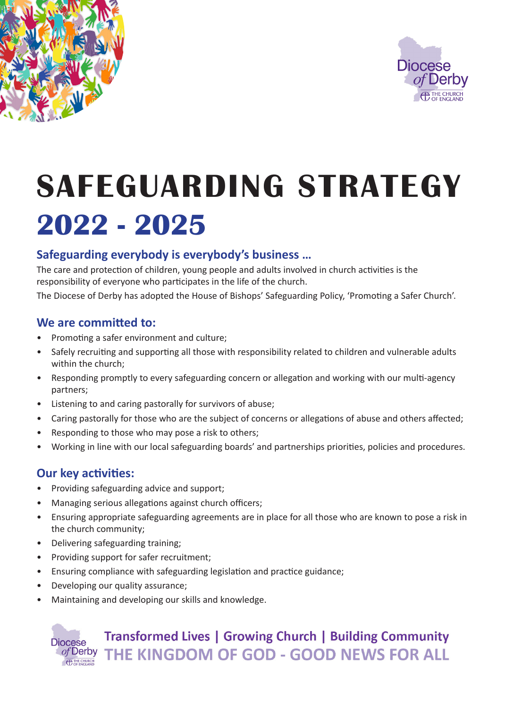



# **SAFEGUARDING STRATEGY 2022 - 2025**

# **Safeguarding everybody is everybody's business …**

The care and protection of children, young people and adults involved in church activities is the responsibility of everyone who participates in the life of the church.

The Diocese of Derby has adopted the House of Bishops' Safeguarding Policy, 'Promoting a Safer Church'.

#### **We are committed to:**

- Promoting a safer environment and culture;
- Safely recruiting and supporting all those with responsibility related to children and vulnerable adults within the church;
- Responding promptly to every safeguarding concern or allegation and working with our multi-agency partners;
- Listening to and caring pastorally for survivors of abuse;
- Caring pastorally for those who are the subject of concerns or allegations of abuse and others affected;
- Responding to those who may pose a risk to others;
- Working in line with our local safeguarding boards' and partnerships priorities, policies and procedures.

## **Our key activities:**

- Providing safeguarding advice and support;
- Managing serious allegations against church officers;
- Ensuring appropriate safeguarding agreements are in place for all those who are known to pose a risk in the church community;
- Delivering safeguarding training;
- Providing support for safer recruitment;
- Ensuring compliance with safeguarding legislation and practice guidance;
- Developing our quality assurance;
- Maintaining and developing our skills and knowledge.

# **Transformed Lives | Growing Church | Building Community** of Derby THE KINGDOM OF GOD - GOOD NEWS FOR ALL